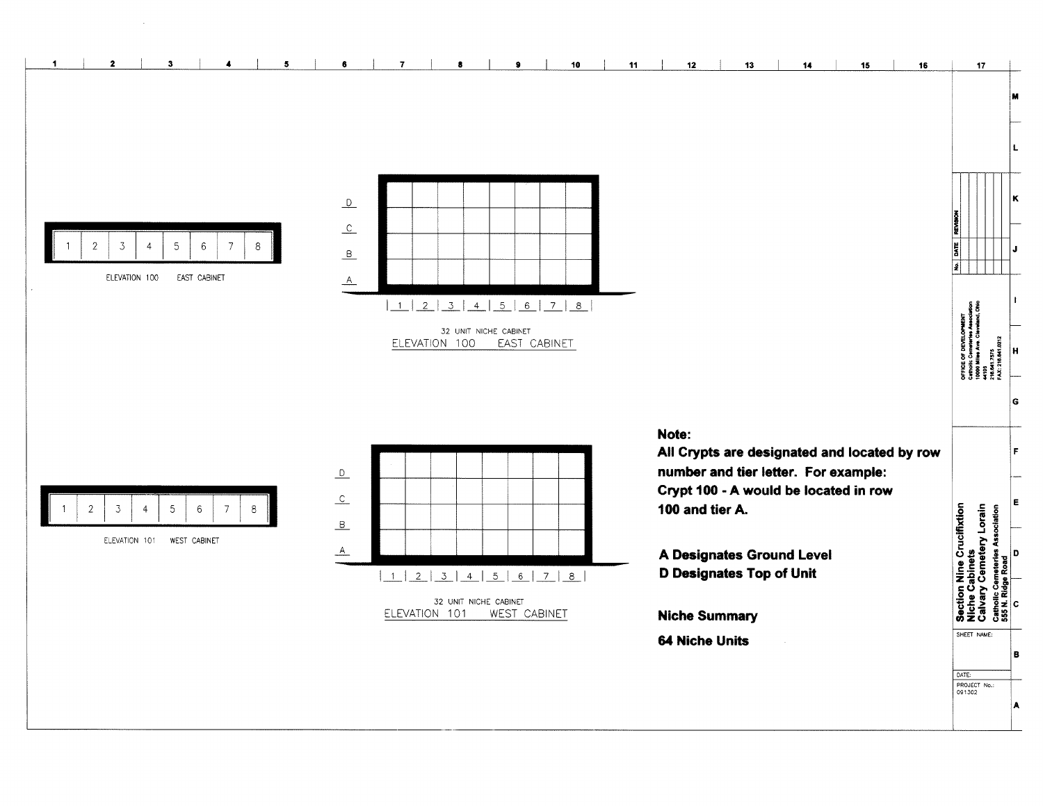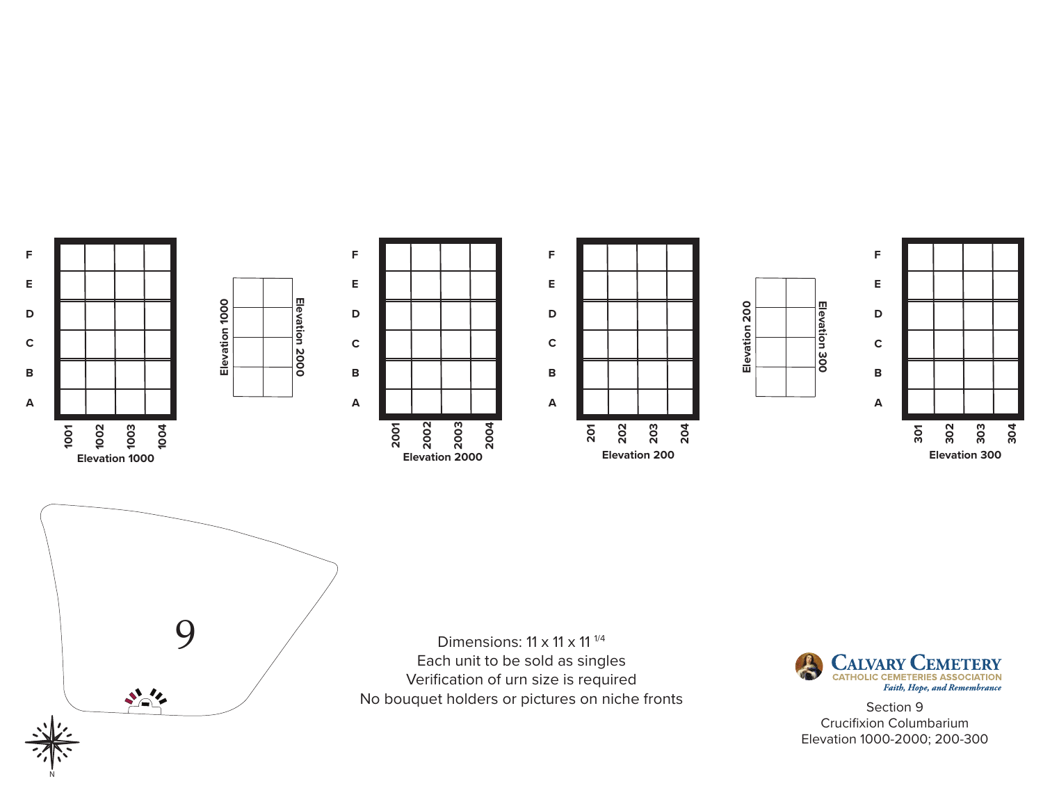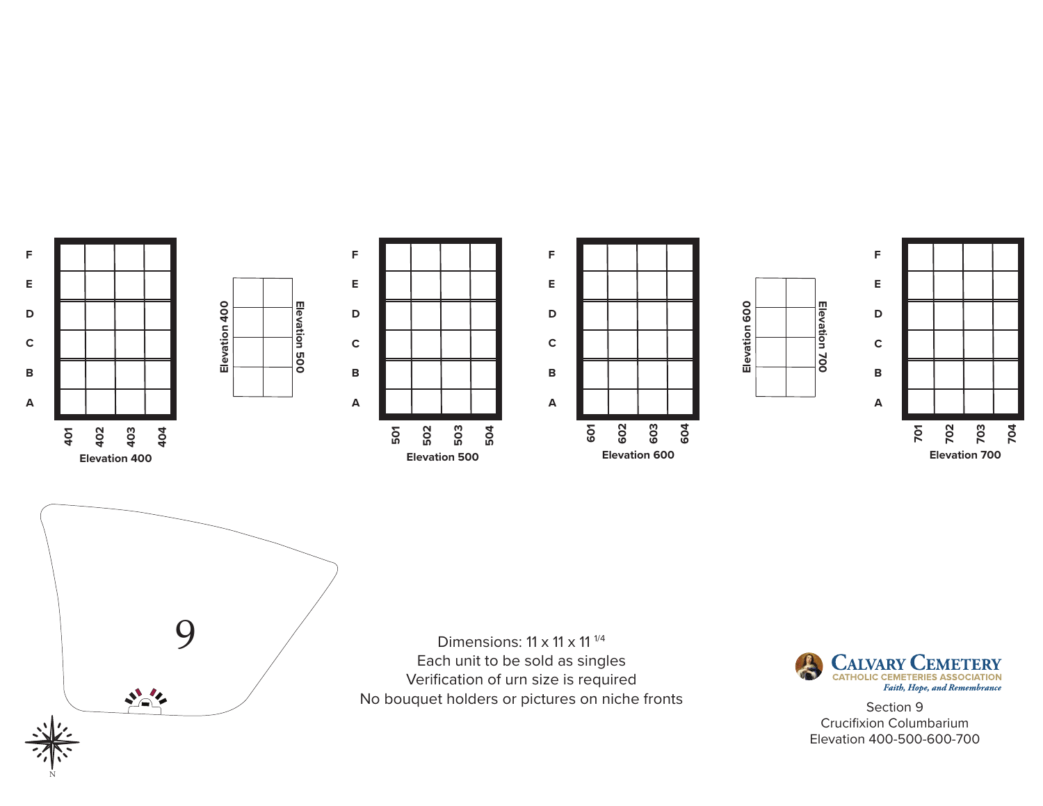

Each unit to be sold as singles Verification of urn size is required No bouquet holders or pictures on niche fronts<br>No bouquet holders or pictures on niche fronts<br>Section 9

N

 $\sum_{i=1}^{n}$ 



Crucifixion Columbarium Elevation 400-500-600-700